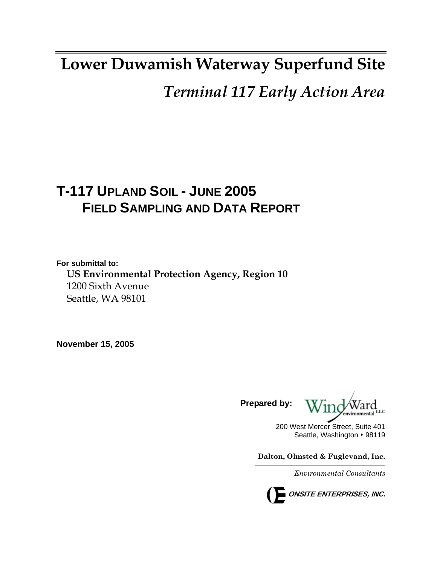# **Lower Duwamish Waterway Superfund Site**

*Terminal 117 Early Action Area*

# **T-117 UPLAND SOIL - JUNE 2005 FIELD SAMPLING AND DATA REPORT**

**For submittal to: US Environmental Protection Agency, Region 10**  1200 Sixth Avenue Seattle, WA 98101

**November 15, 2005** 

**Prepared by:** 

200 West Mercer Street, Suite 401 Seattle, Washington • 98119

**Dalton, Olmsted & Fuglevand, Inc.** 

*Environmental Consultants*

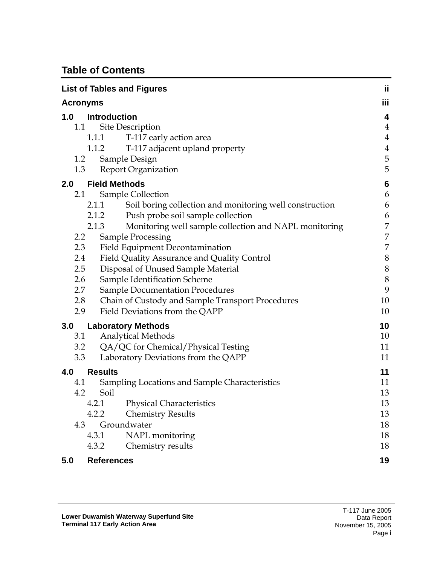# **Table of Contents**

|                 | <b>List of Tables and Figures</b>                                | ij                      |
|-----------------|------------------------------------------------------------------|-------------------------|
| <b>Acronyms</b> |                                                                  | iii                     |
| 1.0             | <b>Introduction</b>                                              | 4                       |
| 1.1             | Site Description                                                 | $\overline{4}$          |
|                 | T-117 early action area<br>1.1.1                                 | $\overline{4}$          |
|                 | T-117 adjacent upland property<br>1.1.2                          | $\overline{\mathbf{4}}$ |
| 1.2             | Sample Design                                                    | 5                       |
| 1.3             | <b>Report Organization</b>                                       | 5                       |
| 2.0             | <b>Field Methods</b>                                             | $\boldsymbol{6}$        |
| 2.1             | Sample Collection                                                | 6                       |
|                 | Soil boring collection and monitoring well construction<br>2.1.1 | 6                       |
|                 | Push probe soil sample collection<br>2.1.2                       | 6                       |
|                 | Monitoring well sample collection and NAPL monitoring<br>2.1.3   | 7                       |
| 2.2             | <b>Sample Processing</b>                                         | 7                       |
| 2.3             | Field Equipment Decontamination                                  | $\overline{7}$          |
| 2.4             | Field Quality Assurance and Quality Control                      | 8                       |
| 2.5             | Disposal of Unused Sample Material                               | 8                       |
| 2.6             | Sample Identification Scheme                                     | 8                       |
| 2.7             | <b>Sample Documentation Procedures</b>                           | 9                       |
| 2.8             | Chain of Custody and Sample Transport Procedures                 | 10                      |
| 2.9             | Field Deviations from the QAPP                                   | 10                      |
| 3.0             | <b>Laboratory Methods</b>                                        | 10                      |
| 3.1             | <b>Analytical Methods</b>                                        | 10                      |
|                 | 3.2 QA/QC for Chemical/Physical Testing                          | 11                      |
| 3.3             | Laboratory Deviations from the QAPP                              | 11                      |
| 4.0             | <b>Results</b>                                                   | 11                      |
| 4.1             | Sampling Locations and Sample Characteristics                    | 11                      |
| 4.2             | Soil                                                             | 13                      |
|                 | <b>Physical Characteristics</b><br>4.2.1                         | 13                      |
|                 | 4.2.2<br><b>Chemistry Results</b>                                | 13                      |
| 4.3             | Groundwater                                                      | 18                      |
|                 | NAPL monitoring<br>4.3.1                                         | 18                      |
|                 | Chemistry results<br>4.3.2                                       | 18                      |
| 5.0             | <b>References</b>                                                | 19                      |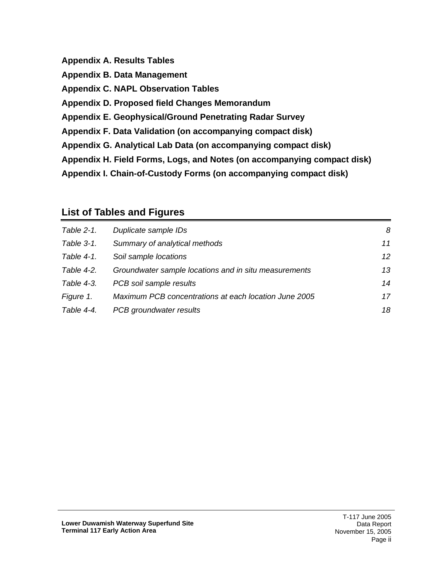**Appendix A. Results Tables Appendix B. Data Management Appendix C. NAPL Observation Tables Appendix D. Proposed field Changes Memorandum Appendix E. Geophysical/Ground Penetrating Radar Survey Appendix F. Data Validation (on accompanying compact disk) Appendix G. Analytical Lab Data (on accompanying compact disk) Appendix H. Field Forms, Logs, and Notes (on accompanying compact disk) Appendix I. Chain-of-Custody Forms (on accompanying compact disk)** 

### <span id="page-2-0"></span>**List of Tables and Figures**

| Table 2-1. | Duplicate sample IDs                                  | 8  |
|------------|-------------------------------------------------------|----|
| Table 3-1. | Summary of analytical methods                         | 11 |
| Table 4-1. | Soil sample locations                                 | 12 |
| Table 4-2. | Groundwater sample locations and in situ measurements | 13 |
| Table 4-3. | PCB soil sample results                               | 14 |
| Figure 1.  | Maximum PCB concentrations at each location June 2005 | 17 |
| Table 4-4. | PCB groundwater results                               | 18 |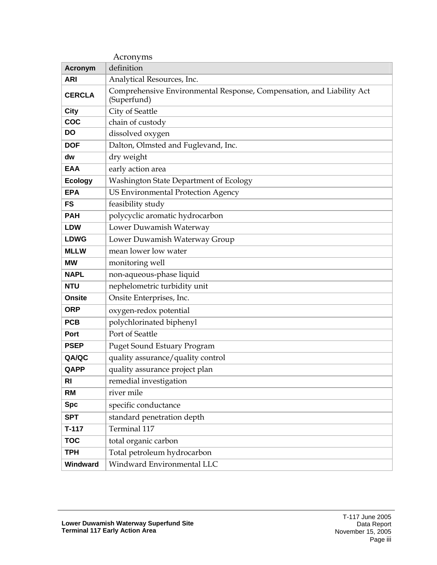<span id="page-3-0"></span>

| Acronyms       |                                                                                      |  |  |  |
|----------------|--------------------------------------------------------------------------------------|--|--|--|
| <b>Acronym</b> | definition                                                                           |  |  |  |
| <b>ARI</b>     | Analytical Resources, Inc.                                                           |  |  |  |
| <b>CERCLA</b>  | Comprehensive Environmental Response, Compensation, and Liability Act<br>(Superfund) |  |  |  |
| <b>City</b>    | City of Seattle                                                                      |  |  |  |
| COC            | chain of custody                                                                     |  |  |  |
| DO             | dissolved oxygen                                                                     |  |  |  |
| <b>DOF</b>     | Dalton, Olmsted and Fuglevand, Inc.                                                  |  |  |  |
| dw             | dry weight                                                                           |  |  |  |
| <b>EAA</b>     | early action area                                                                    |  |  |  |
| <b>Ecology</b> | Washington State Department of Ecology                                               |  |  |  |
| <b>EPA</b>     | US Environmental Protection Agency                                                   |  |  |  |
| <b>FS</b>      | feasibility study                                                                    |  |  |  |
| <b>PAH</b>     | polycyclic aromatic hydrocarbon                                                      |  |  |  |
| <b>LDW</b>     | Lower Duwamish Waterway                                                              |  |  |  |
| <b>LDWG</b>    | Lower Duwamish Waterway Group                                                        |  |  |  |
| <b>MLLW</b>    | mean lower low water                                                                 |  |  |  |
| <b>MW</b>      | monitoring well                                                                      |  |  |  |
| <b>NAPL</b>    | non-aqueous-phase liquid                                                             |  |  |  |
| <b>NTU</b>     | nephelometric turbidity unit                                                         |  |  |  |
| <b>Onsite</b>  | Onsite Enterprises, Inc.                                                             |  |  |  |
| <b>ORP</b>     | oxygen-redox potential                                                               |  |  |  |
| <b>PCB</b>     | polychlorinated biphenyl                                                             |  |  |  |
| <b>Port</b>    | Port of Seattle                                                                      |  |  |  |
| <b>PSEP</b>    | <b>Puget Sound Estuary Program</b>                                                   |  |  |  |
| QA/QC          | quality assurance/quality control                                                    |  |  |  |
| QAPP           | quality assurance project plan                                                       |  |  |  |
| R <sub>l</sub> | remedial investigation                                                               |  |  |  |
| <b>RM</b>      | river mile                                                                           |  |  |  |
| <b>Spc</b>     | specific conductance                                                                 |  |  |  |
| <b>SPT</b>     | standard penetration depth                                                           |  |  |  |
| $T-117$        | Terminal 117                                                                         |  |  |  |
| <b>TOC</b>     | total organic carbon                                                                 |  |  |  |
| <b>TPH</b>     | Total petroleum hydrocarbon                                                          |  |  |  |
| Windward       | Windward Environmental LLC                                                           |  |  |  |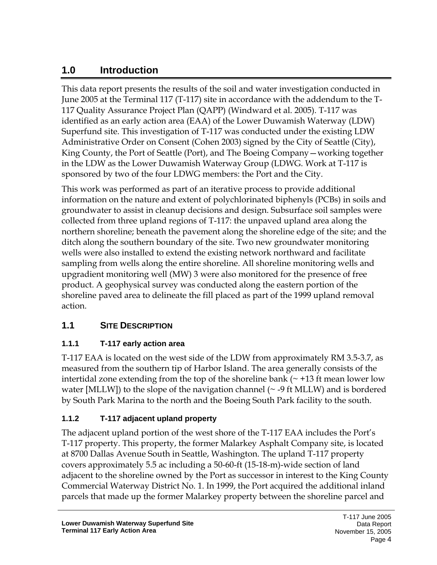# <span id="page-4-0"></span>**1.0 Introduction**

This data report presents the results of the soil and water investigation conducted in June 2005 at the Terminal 117 (T-117) site in accordance with the addendum to the T-117 Quality Assurance Project Plan (QAPP) (Windward et al. 2005). T-117 was identified as an early action area (EAA) of the Lower Duwamish Waterway (LDW) Superfund site. This investigation of T-117 was conducted under the existing LDW Administrative Order on Consent (Cohen 2003) signed by the City of Seattle (City), King County, the Port of Seattle (Port), and The Boeing Company—working together in the LDW as the Lower Duwamish Waterway Group (LDWG. Work at T-117 is sponsored by two of the four LDWG members: the Port and the City.

This work was performed as part of an iterative process to provide additional information on the nature and extent of polychlorinated biphenyls (PCBs) in soils and groundwater to assist in cleanup decisions and design. Subsurface soil samples were collected from three upland regions of T-117: the unpaved upland area along the northern shoreline; beneath the pavement along the shoreline edge of the site; and the ditch along the southern boundary of the site. Two new groundwater monitoring wells were also installed to extend the existing network northward and facilitate sampling from wells along the entire shoreline. All shoreline monitoring wells and upgradient monitoring well (MW) 3 were also monitored for the presence of free product. A geophysical survey was conducted along the eastern portion of the shoreline paved area to delineate the fill placed as part of the 1999 upland removal action.

### <span id="page-4-1"></span>**1.1 SITE DESCRIPTION**

#### <span id="page-4-2"></span>**1.1.1 T-117 early action area**

T-117 EAA is located on the west side of the LDW from approximately RM 3.5-3.7, as measured from the southern tip of Harbor Island. The area generally consists of the intertidal zone extending from the top of the shoreline bank  $(\sim +13$  ft mean lower low water [MLLW]) to the slope of the navigation channel ( $\sim$  -9 ft MLLW) and is bordered by South Park Marina to the north and the Boeing South Park facility to the south.

#### <span id="page-4-3"></span>**1.1.2 T-117 adjacent upland property**

The adjacent upland portion of the west shore of the T-117 EAA includes the Port's T-117 property. This property, the former Malarkey Asphalt Company site, is located at 8700 Dallas Avenue South in Seattle, Washington. The upland T-117 property covers approximately 5.5 ac including a 50-60-ft (15-18-m)-wide section of land adjacent to the shoreline owned by the Port as successor in interest to the King County Commercial Waterway District No. 1. In 1999, the Port acquired the additional inland parcels that made up the former Malarkey property between the shoreline parcel and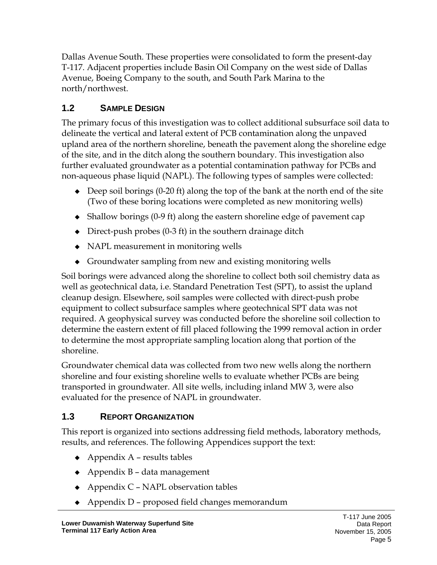Dallas Avenue South. These properties were consolidated to form the present-day T-117. Adjacent properties include Basin Oil Company on the west side of Dallas Avenue, Boeing Company to the south, and South Park Marina to the north/northwest.

# <span id="page-5-0"></span>**1.2 SAMPLE DESIGN**

The primary focus of this investigation was to collect additional subsurface soil data to delineate the vertical and lateral extent of PCB contamination along the unpaved upland area of the northern shoreline, beneath the pavement along the shoreline edge of the site, and in the ditch along the southern boundary. This investigation also further evaluated groundwater as a potential contamination pathway for PCBs and non-aqueous phase liquid (NAPL). The following types of samples were collected:

- $\bullet$  Deep soil borings (0-20 ft) along the top of the bank at the north end of the site (Two of these boring locations were completed as new monitoring wells)
- Shallow borings (0-9 ft) along the eastern shoreline edge of pavement cap
- $\bullet$  Direct-push probes (0-3 ft) in the southern drainage ditch
- NAPL measurement in monitoring wells
- Groundwater sampling from new and existing monitoring wells

Soil borings were advanced along the shoreline to collect both soil chemistry data as well as geotechnical data, i.e. Standard Penetration Test (SPT), to assist the upland cleanup design. Elsewhere, soil samples were collected with direct-push probe equipment to collect subsurface samples where geotechnical SPT data was not required. A geophysical survey was conducted before the shoreline soil collection to determine the eastern extent of fill placed following the 1999 removal action in order to determine the most appropriate sampling location along that portion of the shoreline.

Groundwater chemical data was collected from two new wells along the northern shoreline and four existing shoreline wells to evaluate whether PCBs are being transported in groundwater. All site wells, including inland MW 3, were also evaluated for the presence of NAPL in groundwater.

# <span id="page-5-1"></span>**1.3 REPORT ORGANIZATION**

This report is organized into sections addressing field methods, laboratory methods, results, and references. The following Appendices support the text:

- $\triangle$  Appendix A results tables
- $\leftrightarrow$  Appendix B data management
- $\triangle$  Appendix C NAPL observation tables
- Appendix D proposed field changes memorandum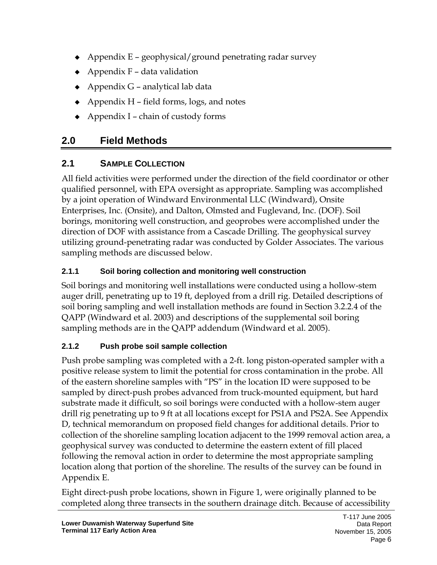- $\triangle$  Appendix E geophysical/ground penetrating radar survey
- $\leftrightarrow$  Appendix F data validation
- $\triangle$  Appendix G analytical lab data
- $\triangle$  Appendix H field forms, logs, and notes
- $\triangle$  Appendix I chain of custody forms

# <span id="page-6-0"></span>**2.0 Field Methods**

# <span id="page-6-1"></span>**2.1 SAMPLE COLLECTION**

All field activities were performed under the direction of the field coordinator or other qualified personnel, with EPA oversight as appropriate. Sampling was accomplished by a joint operation of Windward Environmental LLC (Windward), Onsite Enterprises, Inc. (Onsite), and Dalton, Olmsted and Fuglevand, Inc. (DOF). Soil borings, monitoring well construction, and geoprobes were accomplished under the direction of DOF with assistance from a Cascade Drilling. The geophysical survey utilizing ground-penetrating radar was conducted by Golder Associates. The various sampling methods are discussed below.

# <span id="page-6-2"></span>**2.1.1 Soil boring collection and monitoring well construction**

Soil borings and monitoring well installations were conducted using a hollow-stem auger drill, penetrating up to 19 ft, deployed from a drill rig. Detailed descriptions of soil boring sampling and well installation methods are found in Section 3.2.2.4 of the QAPP (Windward et al. 2003) and descriptions of the supplemental soil boring sampling methods are in the QAPP addendum (Windward et al. 2005).

# <span id="page-6-3"></span>**2.1.2 Push probe soil sample collection**

Push probe sampling was completed with a 2-ft. long piston-operated sampler with a positive release system to limit the potential for cross contamination in the probe. All of the eastern shoreline samples with "PS" in the location ID were supposed to be sampled by direct-push probes advanced from truck-mounted equipment, but hard substrate made it difficult, so soil borings were conducted with a hollow-stem auger drill rig penetrating up to 9 ft at all locations except for PS1A and PS2A. See Appendix D, technical memorandum on proposed field changes for additional details. Prior to collection of the shoreline sampling location adjacent to the 1999 removal action area, a geophysical survey was conducted to determine the eastern extent of fill placed following the removal action in order to determine the most appropriate sampling location along that portion of the shoreline. The results of the survey can be found in Appendix E.

Eight direct-push probe locations, shown in Figure 1, were originally planned to be completed along three transects in the southern drainage ditch. Because of accessibility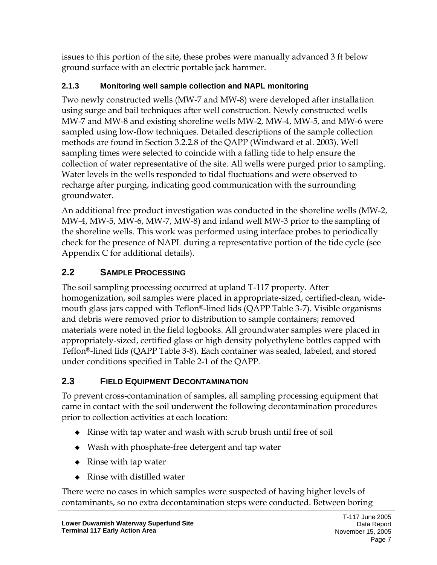issues to this portion of the site, these probes were manually advanced 3 ft below ground surface with an electric portable jack hammer.

#### <span id="page-7-0"></span>**2.1.3 Monitoring well sample collection and NAPL monitoring**

Two newly constructed wells (MW-7 and MW-8) were developed after installation using surge and bail techniques after well construction. Newly constructed wells MW-7 and MW-8 and existing shoreline wells MW-2, MW-4, MW-5, and MW-6 were sampled using low-flow techniques. Detailed descriptions of the sample collection methods are found in Section 3.2.2.8 of the QAPP (Windward et al. 2003). Well sampling times were selected to coincide with a falling tide to help ensure the collection of water representative of the site. All wells were purged prior to sampling. Water levels in the wells responded to tidal fluctuations and were observed to recharge after purging, indicating good communication with the surrounding groundwater.

An additional free product investigation was conducted in the shoreline wells (MW-2, MW-4, MW-5, MW-6, MW-7, MW-8) and inland well MW-3 prior to the sampling of the shoreline wells. This work was performed using interface probes to periodically check for the presence of NAPL during a representative portion of the tide cycle (see Appendix C for additional details).

# <span id="page-7-1"></span>**2.2 SAMPLE PROCESSING**

The soil sampling processing occurred at upland T-117 property. After homogenization, soil samples were placed in appropriate-sized, certified-clean, widemouth glass jars capped with Teflon®-lined lids (QAPP Table 3-7). Visible organisms and debris were removed prior to distribution to sample containers; removed materials were noted in the field logbooks. All groundwater samples were placed in appropriately-sized, certified glass or high density polyethylene bottles capped with Teflon®-lined lids (QAPP Table 3-8). Each container was sealed, labeled, and stored under conditions specified in Table 2-1 of the QAPP.

# <span id="page-7-2"></span>**2.3 FIELD EQUIPMENT DECONTAMINATION**

To prevent cross-contamination of samples, all sampling processing equipment that came in contact with the soil underwent the following decontamination procedures prior to collection activities at each location:

- Rinse with tap water and wash with scrub brush until free of soil
- Wash with phosphate-free detergent and tap water
- $\bullet$  Rinse with tap water
- ◆ Rinse with distilled water

There were no cases in which samples were suspected of having higher levels of contaminants, so no extra decontamination steps were conducted. Between boring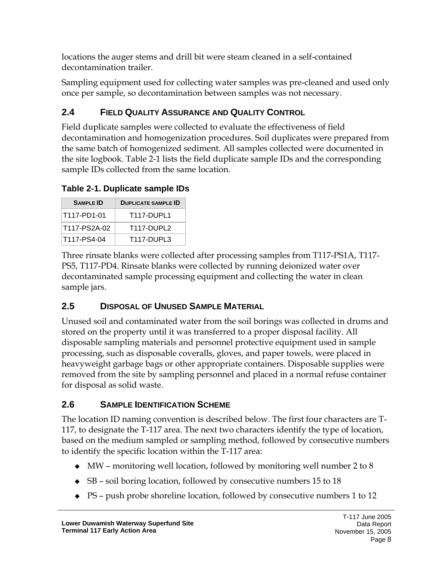locations the auger stems and drill bit were steam cleaned in a self-contained decontamination trailer.

Sampling equipment used for collecting water samples was pre-cleaned and used only once per sample, so decontamination between samples was not necessary.

# <span id="page-8-0"></span>**2.4 FIELD QUALITY ASSURANCE AND QUALITY CONTROL**

Field duplicate samples were collected to evaluate the effectiveness of field decontamination and homogenization procedures. Soil duplicates were prepared from the same batch of homogenized sediment. All samples collected were documented in the site logbook. Table 2-1 lists the field duplicate sample IDs and the corresponding sample IDs collected from the same location.

<span id="page-8-3"></span>**Table 2-1. Duplicate sample IDs** 

| <b>SAMPLE ID</b> | <b>DUPLICATE SAMPLE ID</b> |
|------------------|----------------------------|
| T117-PD1-01      | <b>T117-DUPL1</b>          |
| T117-PS2A-02     | T117-DUPL2                 |
| T117-PS4-04      | T <sub>117</sub> -DUPL3    |

Three rinsate blanks were collected after processing samples from T117-PS1A, T117- PS5, T117-PD4. Rinsate blanks were collected by running deionized water over decontaminated sample processing equipment and collecting the water in clean sample jars.

# <span id="page-8-1"></span>**2.5 DISPOSAL OF UNUSED SAMPLE MATERIAL**

Unused soil and contaminated water from the soil borings was collected in drums and stored on the property until it was transferred to a proper disposal facility. All disposable sampling materials and personnel protective equipment used in sample processing, such as disposable coveralls, gloves, and paper towels, were placed in heavyweight garbage bags or other appropriate containers. Disposable supplies were removed from the site by sampling personnel and placed in a normal refuse container for disposal as solid waste.

# <span id="page-8-2"></span>**2.6 SAMPLE IDENTIFICATION SCHEME**

The location ID naming convention is described below. The first four characters are T-117, to designate the T-117 area. The next two characters identify the type of location, based on the medium sampled or sampling method, followed by consecutive numbers to identify the specific location within the T-117 area:

- $\blacklozenge$  MW monitoring well location, followed by monitoring well number 2 to 8
- SB soil boring location, followed by consecutive numbers 15 to 18
- PS push probe shoreline location, followed by consecutive numbers 1 to 12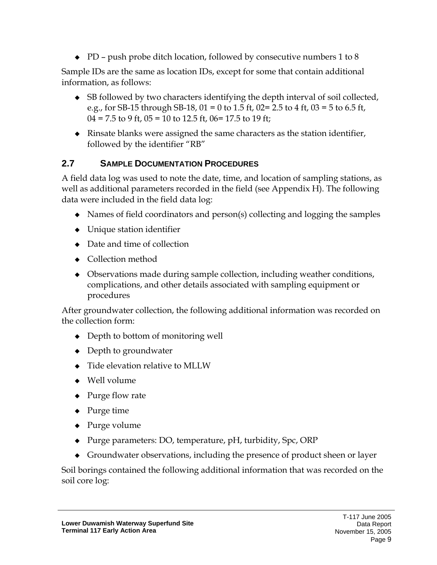$\bullet$  PD – push probe ditch location, followed by consecutive numbers 1 to 8

Sample IDs are the same as location IDs, except for some that contain additional information, as follows:

- SB followed by two characters identifying the depth interval of soil collected, e.g., for SB-15 through SB-18,  $01 = 0$  to 1.5 ft,  $02 = 2.5$  to 4 ft,  $03 = 5$  to 6.5 ft,  $04 = 7.5$  to 9 ft,  $05 = 10$  to 12.5 ft,  $06 = 17.5$  to 19 ft;
- Rinsate blanks were assigned the same characters as the station identifier, followed by the identifier "RB"

### <span id="page-9-0"></span>**2.7 SAMPLE DOCUMENTATION PROCEDURES**

A field data log was used to note the date, time, and location of sampling stations, as well as additional parameters recorded in the field (see Appendix H). The following data were included in the field data log:

- Names of field coordinators and person(s) collecting and logging the samples
- ◆ Unique station identifier
- Date and time of collection
- ◆ Collection method
- Observations made during sample collection, including weather conditions, complications, and other details associated with sampling equipment or procedures

After groundwater collection, the following additional information was recorded on the collection form:

- Depth to bottom of monitoring well
- Depth to groundwater
- $\triangleleft$  Tide elevation relative to MLLW
- ◆ Well volume
- ◆ Purge flow rate
- ◆ Purge time
- $\triangle$  Purge volume
- ◆ Purge parameters: DO, temperature, pH, turbidity, Spc, ORP
- Groundwater observations, including the presence of product sheen or layer

Soil borings contained the following additional information that was recorded on the soil core log: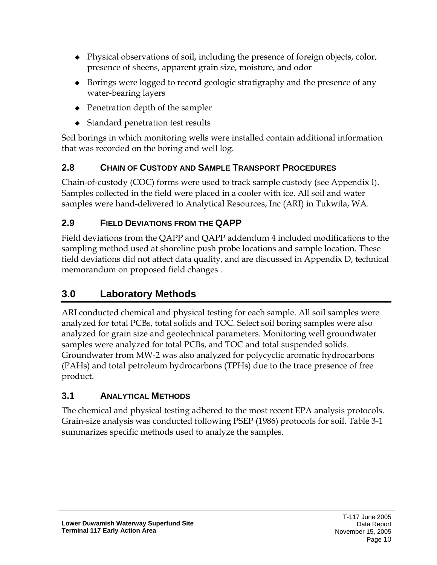- Physical observations of soil, including the presence of foreign objects, color, presence of sheens, apparent grain size, moisture, and odor
- Borings were logged to record geologic stratigraphy and the presence of any water-bearing layers
- $\triangle$  Penetration depth of the sampler
- ◆ Standard penetration test results

Soil borings in which monitoring wells were installed contain additional information that was recorded on the boring and well log.

## <span id="page-10-0"></span>**2.8 CHAIN OF CUSTODY AND SAMPLE TRANSPORT PROCEDURES**

Chain-of-custody (COC) forms were used to track sample custody (see Appendix I). Samples collected in the field were placed in a cooler with ice. All soil and water samples were hand-delivered to Analytical Resources, Inc (ARI) in Tukwila, WA.

## <span id="page-10-1"></span>**2.9 FIELD DEVIATIONS FROM THE QAPP**

Field deviations from the QAPP and QAPP addendum 4 included modifications to the sampling method used at shoreline push probe locations and sample location. These field deviations did not affect data quality, and are discussed in Appendix D, technical memorandum on proposed field changes .

# <span id="page-10-2"></span>**3.0 Laboratory Methods**

ARI conducted chemical and physical testing for each sample. All soil samples were analyzed for total PCBs, total solids and TOC. Select soil boring samples were also analyzed for grain size and geotechnical parameters. Monitoring well groundwater samples were analyzed for total PCBs, and TOC and total suspended solids. Groundwater from MW-2 was also analyzed for polycyclic aromatic hydrocarbons (PAHs) and total petroleum hydrocarbons (TPHs) due to the trace presence of free product.

# <span id="page-10-3"></span>**3.1 ANALYTICAL METHODS**

The chemical and physical testing adhered to the most recent EPA analysis protocols. Grain-size analysis was conducted following PSEP (1986) protocols for soil. Table 3-1 summarizes specific methods used to analyze the samples.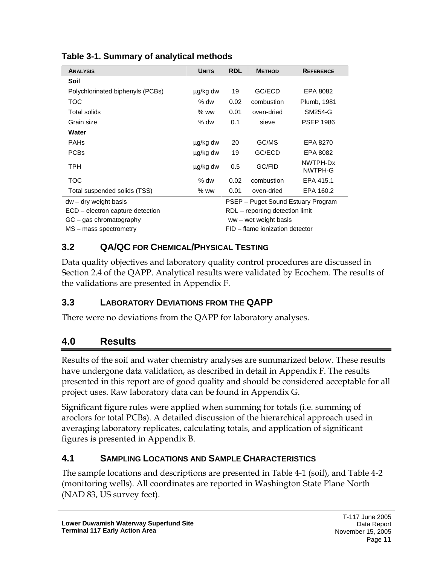| <b>ANALYSIS</b>                  | <b>UNITS</b> | <b>RDL</b> | <b>METHOD</b>                   | <b>REFERENCE</b>                   |  |  |
|----------------------------------|--------------|------------|---------------------------------|------------------------------------|--|--|
| Soil                             |              |            |                                 |                                    |  |  |
| Polychlorinated biphenyls (PCBs) | µg/kg dw     | 19         | GC/ECD                          | EPA 8082                           |  |  |
| <b>TOC</b>                       | $%$ dw       | 0.02       | combustion                      | Plumb, 1981                        |  |  |
| Total solids                     | $%$ ww       | 0.01       | oven-dried                      | SM254-G                            |  |  |
| Grain size                       | $%$ dw       | 0.1        | sieve                           | <b>PSEP 1986</b>                   |  |  |
| Water                            |              |            |                                 |                                    |  |  |
| <b>PAHs</b>                      | µg/kg dw     | 20         | GC/MS                           | EPA 8270                           |  |  |
| <b>PCBs</b>                      | µg/kg dw     | 19         | GC/ECD                          | EPA 8082                           |  |  |
| <b>TPH</b>                       | ug/kg dw     | 0.5        | GC/FID                          | NWTPH-Dx<br>NWTPH-G                |  |  |
| <b>TOC</b>                       | $%$ dw       | 0.02       | combustion                      | EPA 415.1                          |  |  |
| Total suspended solids (TSS)     | $%$ ww       | 0.01       | oven-dried                      | EPA 160.2                          |  |  |
| $dw - dry$ weight basis          |              |            |                                 | PSEP – Puget Sound Estuary Program |  |  |
| ECD – electron capture detection |              |            | RDL – reporting detection limit |                                    |  |  |
| $GC - gas$ chromatography        |              |            | $ww - wet weight basis$         |                                    |  |  |
| MS – mass spectrometry           |              |            | FID - flame ionization detector |                                    |  |  |

<span id="page-11-4"></span>**Table 3-1. Summary of analytical methods** 

## <span id="page-11-0"></span>**3.2 QA/QC FOR CHEMICAL/PHYSICAL TESTING**

Data quality objectives and laboratory quality control procedures are discussed in Section 2.4 of the QAPP. Analytical results were validated by Ecochem. The results of the validations are presented in Appendix F.

### <span id="page-11-1"></span>**3.3 LABORATORY DEVIATIONS FROM THE QAPP**

There were no deviations from the QAPP for laboratory analyses.

# <span id="page-11-2"></span>**4.0 Results**

Results of the soil and water chemistry analyses are summarized below. These results have undergone data validation, as described in detail in Appendix F. The results presented in this report are of good quality and should be considered acceptable for all project uses. Raw laboratory data can be found in Appendix G.

Significant figure rules were applied when summing for totals (i.e. summing of aroclors for total PCBs). A detailed discussion of the hierarchical approach used in averaging laboratory replicates, calculating totals, and application of significant figures is presented in Appendix B.

# <span id="page-11-3"></span>**4.1 SAMPLING LOCATIONS AND SAMPLE CHARACTERISTICS**

The sample locations and descriptions are presented in Table 4-1 (soil), and Table 4-2 (monitoring wells). All coordinates are reported in Washington State Plane North (NAD 83, US survey feet).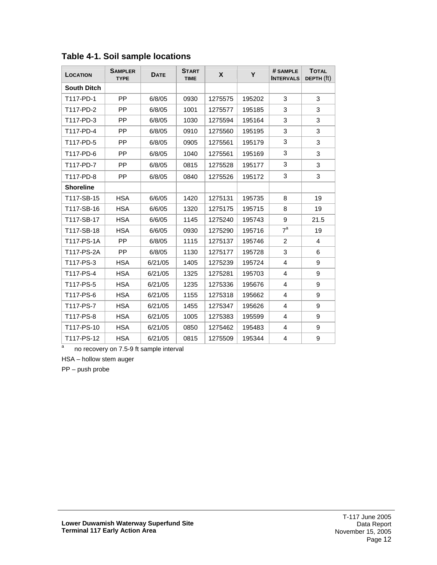| LOCATION           | <b>SAMPLER</b><br><b>TYPE</b> | <b>DATE</b> | <b>START</b><br><b>TIME</b> | X       | Y      | # SAMPLE<br><b>INTERVALS</b> | <b>TOTAL</b><br>DEPTH (ft) |
|--------------------|-------------------------------|-------------|-----------------------------|---------|--------|------------------------------|----------------------------|
| <b>South Ditch</b> |                               |             |                             |         |        |                              |                            |
| T117-PD-1          | <b>PP</b>                     | 6/8/05      | 0930                        | 1275575 | 195202 | 3                            | 3                          |
| T117-PD-2          | <b>PP</b>                     | 6/8/05      | 1001                        | 1275577 | 195185 | 3                            | 3                          |
| T117-PD-3          | <b>PP</b>                     | 6/8/05      | 1030                        | 1275594 | 195164 | 3                            | 3                          |
| T117-PD-4          | PP.                           | 6/8/05      | 0910                        | 1275560 | 195195 | 3                            | 3                          |
| T117-PD-5          | <b>PP</b>                     | 6/8/05      | 0905                        | 1275561 | 195179 | 3                            | 3                          |
| T117-PD-6          | <b>PP</b>                     | 6/8/05      | 1040                        | 1275561 | 195169 | 3                            | 3                          |
| T117-PD-7          | <b>PP</b>                     | 6/8/05      | 0815                        | 1275528 | 195177 | 3                            | 3                          |
| T117-PD-8          | PP.                           | 6/8/05      | 0840                        | 1275526 | 195172 | 3                            | 3                          |
| <b>Shoreline</b>   |                               |             |                             |         |        |                              |                            |
| T117-SB-15         | <b>HSA</b>                    | 6/6/05      | 1420                        | 1275131 | 195735 | 8                            | 19                         |
| T117-SB-16         | <b>HSA</b>                    | 6/6/05      | 1320                        | 1275175 | 195715 | 8                            | 19                         |
| T117-SB-17         | <b>HSA</b>                    | 6/6/05      | 1145                        | 1275240 | 195743 | 9                            | 21.5                       |
| T117-SB-18         | <b>HSA</b>                    | 6/6/05      | 0930                        | 1275290 | 195716 | $7^a$                        | 19                         |
| T117-PS-1A         | <b>PP</b>                     | 6/8/05      | 1115                        | 1275137 | 195746 | $\overline{2}$               | 4                          |
| T117-PS-2A         | <b>PP</b>                     | 6/8/05      | 1130                        | 1275177 | 195728 | 3                            | 6                          |
| T117-PS-3          | <b>HSA</b>                    | 6/21/05     | 1405                        | 1275239 | 195724 | 4                            | 9                          |
| T117-PS-4          | <b>HSA</b>                    | 6/21/05     | 1325                        | 1275281 | 195703 | 4                            | 9                          |
| T117-PS-5          | <b>HSA</b>                    | 6/21/05     | 1235                        | 1275336 | 195676 | $\overline{4}$               | 9                          |
| T117-PS-6          | <b>HSA</b>                    | 6/21/05     | 1155                        | 1275318 | 195662 | 4                            | 9                          |
| T117-PS-7          | <b>HSA</b>                    | 6/21/05     | 1455                        | 1275347 | 195626 | 4                            | 9                          |
| T117-PS-8          | <b>HSA</b>                    | 6/21/05     | 1005                        | 1275383 | 195599 | 4                            | 9                          |
| T117-PS-10         | <b>HSA</b>                    | 6/21/05     | 0850                        | 1275462 | 195483 | 4                            | 9                          |
| T117-PS-12         | <b>HSA</b>                    | 6/21/05     | 0815                        | 1275509 | 195344 | 4                            | 9                          |

<span id="page-12-0"></span>**Table 4-1. Soil sample locations** 

a no recovery on 7.5-9 ft sample interval

HSA – hollow stem auger

PP – push probe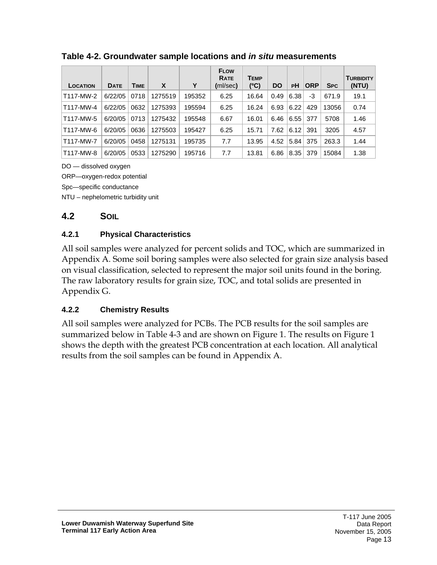| LOCATION  | <b>DATE</b> | <b>TIME</b> | X       | Υ      | <b>FLOW</b><br><b>RATE</b><br>(ml/sec) | Темр<br>(°C) | <b>DO</b> | РH   | <b>ORP</b> | <b>SPC</b> | <b>TURBIDITY</b><br>(NTU) |
|-----------|-------------|-------------|---------|--------|----------------------------------------|--------------|-----------|------|------------|------------|---------------------------|
| T117-MW-2 | 6/22/05     | 0718        | 1275519 | 195352 | 6.25                                   | 16.64        | 0.49      | 6.38 | -3         | 671.9      | 19.1                      |
| T117-MW-4 | 6/22/05     | 0632        | 1275393 | 195594 | 6.25                                   | 16.24        | 6.93      | 6.22 | 429        | 13056      | 0.74                      |
| T117-MW-5 | 6/20/05     | 0713        | 1275432 | 195548 | 6.67                                   | 16.01        | 6.46      | 6.55 | 377        | 5708       | 1.46                      |
| T117-MW-6 | 6/20/05     | 0636        | 1275503 | 195427 | 6.25                                   | 15.71        | 7.62      | 6.12 | 391        | 3205       | 4.57                      |
| T117-MW-7 | 6/20/05     | 0458        | 1275131 | 195735 | 7.7                                    | 13.95        | 4.52      | 5.84 | 375        | 263.3      | 1.44                      |
| T117-MW-8 | 6/20/05     | 0533        | 1275290 | 195716 | 7.7                                    | 13.81        | 6.86      | 8.35 | 379        | 15084      | 1.38                      |

<span id="page-13-3"></span>**Table 4-2. Groundwater sample locations and** *in situ* **measurements** 

DO — dissolved oxygen

ORP—oxygen-redox potential

Spc—specific conductance

NTU – nephelometric turbidity unit

#### <span id="page-13-0"></span>**4.2 SOIL**

#### <span id="page-13-1"></span>**4.2.1 Physical Characteristics**

All soil samples were analyzed for percent solids and TOC, which are summarized in Appendix A. Some soil boring samples were also selected for grain size analysis based on visual classification, selected to represent the major soil units found in the boring. The raw laboratory results for grain size, TOC, and total solids are presented in Appendix G.

#### <span id="page-13-2"></span>**4.2.2 Chemistry Results**

All soil samples were analyzed for PCBs. The PCB results for the soil samples are summarized below in Table 4-3 and are shown on Figure 1. The results on Figure 1 shows the depth with the greatest PCB concentration at each location. All analytical results from the soil samples can be found in Appendix A.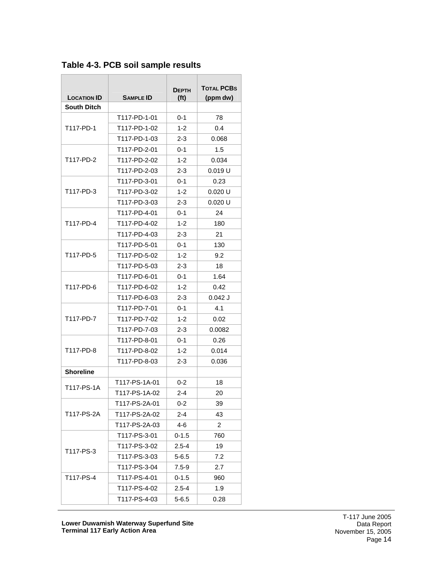| <b>LOCATION ID</b> | <b>SAMPLE ID</b> | <b>DEPTH</b><br>(f <sub>t</sub> ) | <b>TOTAL PCBS</b><br>(ppm dw) |
|--------------------|------------------|-----------------------------------|-------------------------------|
| <b>South Ditch</b> |                  |                                   |                               |
|                    | T117-PD-1-01     | $0 - 1$                           | 78                            |
| T117-PD-1          | T117-PD-1-02     | $1 - 2$                           | 0.4                           |
|                    | T117-PD-1-03     | 2-3                               | 0.068                         |
|                    | T117-PD-2-01     | 0-1                               | 1.5                           |
| T117-PD-2          | T117-PD-2-02     | $1 - 2$                           | 0.034                         |
|                    | T117-PD-2-03     | 2-3                               | 0.019 U                       |
|                    | T117-PD-3-01     | 0-1                               | 0.23                          |
| T117-PD-3          | T117-PD-3-02     | $1 - 2$                           | $0.020$ U                     |
|                    | T117-PD-3-03     | $2 - 3$                           | 0.020 U                       |
|                    | T117-PD-4-01     | 0-1                               | 24                            |
| T117-PD-4          | T117-PD-4-02     | $1 - 2$                           | 180                           |
|                    | T117-PD-4-03     | $2 - 3$                           | 21                            |
|                    | T117-PD-5-01     | 0-1                               | 130                           |
| T117-PD-5          | T117-PD-5-02     | $1 - 2$                           | 9.2                           |
|                    | T117-PD-5-03     | 2-3                               | 18                            |
|                    | T117-PD-6-01     | $0 - 1$                           | 1.64                          |
| T117-PD-6          | T117-PD-6-02     | $1 - 2$                           | 0.42                          |
|                    | T117-PD-6-03     | $2 - 3$                           | $0.042$ J                     |
|                    | T117-PD-7-01     | 0-1                               | 4.1                           |
| T117-PD-7          | T117-PD-7-02     | $1 - 2$                           | 0.02                          |
|                    | T117-PD-7-03     | 2-3                               | 0.0082                        |
|                    | T117-PD-8-01     | 0-1                               | 0.26                          |
| T117-PD-8          | T117-PD-8-02     | $1 - 2$                           | 0.014                         |
|                    | T117-PD-8-03     | 2-3                               | 0.036                         |
| <b>Shoreline</b>   |                  |                                   |                               |
| T117-PS-1A         | T117-PS-1A-01    | $0 - 2$                           | 18                            |
|                    | T117-PS-1A-02    | $2 - 4$                           | 20                            |
|                    | T117-PS-2A-01    | 0-2                               | 39                            |
| T117-PS-2A         | T117-PS-2A-02    | $2 - 4$                           | 43                            |
|                    | T117-PS-2A-03    | $4 - 6$                           | 2                             |
|                    | T117-PS-3-01     | $0 - 1.5$                         | 760                           |
| T117-PS-3          | T117-PS-3-02     | $2.5 - 4$                         | 19                            |
|                    | T117-PS-3-03     | $5 - 6.5$                         | 7.2                           |
|                    | T117-PS-3-04     | 7.5-9                             | 2.7                           |
| T117-PS-4          | T117-PS-4-01     | $0 - 1.5$                         | 960                           |
|                    | T117-PS-4-02     | $2.5 - 4$                         | 1.9                           |
|                    | T117-PS-4-03     | $5 - 6.5$                         | 0.28                          |

<span id="page-14-0"></span>**Table 4-3. PCB soil sample results**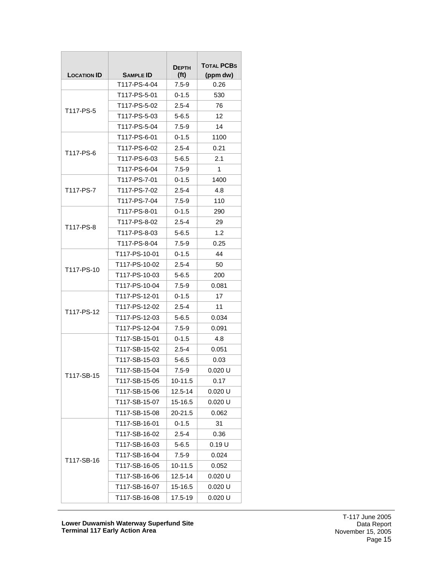|                    |                  | <b>DEPTH</b>      | <b>TOTAL PCBS</b> |
|--------------------|------------------|-------------------|-------------------|
| <b>LOCATION ID</b> | <b>SAMPLE ID</b> | (f <sub>t</sub> ) | (ppm dw)          |
|                    | T117-PS-4-04     | $7.5 - 9$         | 0.26              |
|                    | T117-PS-5-01     | 0-1.5             | 530               |
| T117-PS-5          | T117-PS-5-02     | $2.5 - 4$         | 76                |
|                    | T117-PS-5-03     | 5-6.5             | 12                |
|                    | T117-PS-5-04     | $7.5 - 9$         | 14                |
|                    | T117-PS-6-01     | $0 - 1.5$         | 1100              |
| T117-PS-6          | T117-PS-6-02     | $2.5 - 4$         | 0.21              |
|                    | T117-PS-6-03     | 5-6.5             | 2.1               |
|                    | T117-PS-6-04     | $7.5 - 9$         | 1                 |
|                    | T117-PS-7-01     | $0 - 1.5$         | 1400              |
| T117-PS-7          | T117-PS-7-02     | $2.5 - 4$         | 4.8               |
|                    | T117-PS-7-04     | 7.5-9             | 110               |
|                    | T117-PS-8-01     | $0 - 1.5$         | 290               |
|                    | T117-PS-8-02     | $2.5 - 4$         | 29                |
| T117-PS-8          | T117-PS-8-03     | $5 - 6.5$         | 1.2               |
|                    | T117-PS-8-04     | $7.5 - 9$         | 0.25              |
|                    | T117-PS-10-01    | 0-1.5             | 44                |
|                    | T117-PS-10-02    | $2.5 - 4$         | 50                |
| T117-PS-10         | T117-PS-10-03    | $5 - 6.5$         | 200               |
|                    | T117-PS-10-04    | $7.5 - 9$         | 0.081             |
|                    | T117-PS-12-01    | 0-1.5             | 17                |
|                    | T117-PS-12-02    | $2.5 - 4$         | 11                |
| T117-PS-12         | T117-PS-12-03    | 5-6.5             | 0.034             |
|                    | T117-PS-12-04    | $7.5 - 9$         | 0.091             |
|                    | T117-SB-15-01    | 0-1.5             | 4.8               |
|                    | T117-SB-15-02    | $2.5 - 4$         | 0.051             |
|                    | T117-SB-15-03    | $5 - 6.5$         | 0.03              |
|                    | T117-SB-15-04    | $7.5 - 9$         | 0.020 U           |
| T117-SB-15         | T117-SB-15-05    | 10-11.5           | 0.17              |
|                    | T117-SB-15-06    | $12.5 - 14$       | 0.020 U           |
|                    | T117-SB-15-07    | 15-16.5           | 0.020 U           |
|                    | T117-SB-15-08    | 20-21.5           | 0.062             |
|                    | T117-SB-16-01    | $0 - 1.5$         | 31                |
|                    | T117-SB-16-02    | $2.5 - 4$         | 0.36              |
|                    | T117-SB-16-03    | $5 - 6.5$         | 0.19 U            |
|                    | T117-SB-16-04    | $7.5 - 9$         | 0.024             |
| T117-SB-16         | T117-SB-16-05    | 10-11.5           | 0.052             |
|                    | T117-SB-16-06    | 12.5-14           | 0.020 U           |
|                    | T117-SB-16-07    | 15-16.5           | 0.020 U           |
|                    | T117-SB-16-08    | 17.5-19           | 0.020 U           |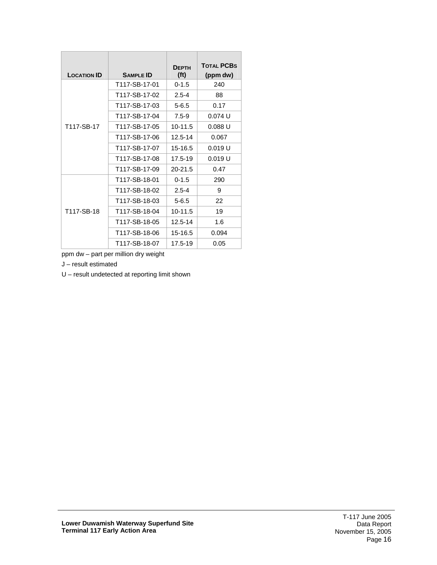| <b>LOCATION ID</b> | <b>SAMPLE ID</b> | <b>DFPTH</b><br>(f <sup>t</sup> ) | <b>TOTAL PCBS</b><br>(ppm dw) |
|--------------------|------------------|-----------------------------------|-------------------------------|
|                    | T117-SB-17-01    | $0 - 1.5$                         | 240                           |
|                    | T117-SB-17-02    | $2.5 - 4$                         | 88                            |
|                    | T117-SB-17-03    | $5 - 6.5$                         | 0.17                          |
|                    | T117-SB-17-04    | $7.5 - 9$                         | 0.074U                        |
| T117-SB-17         | T117-SB-17-05    | $10 - 11.5$                       | 0.088U                        |
|                    | T117-SB-17-06    | 12.5-14                           | 0.067                         |
|                    | T117-SB-17-07    | 15-16.5                           | 0.019 U                       |
|                    | T117-SB-17-08    | 17.5-19                           | 0.019U                        |
|                    | T117-SB-17-09    | $20 - 21.5$                       | 0.47                          |
|                    | T117-SB-18-01    | $0 - 1.5$                         | 290                           |
|                    | T117-SB-18-02    | $2.5 - 4$                         | 9                             |
|                    | T117-SB-18-03    | $5 - 6.5$                         | 22                            |
| T117-SB-18         | T117-SB-18-04    | $10-11.5$                         | 19                            |
|                    | T117-SB-18-05    | 12.5-14                           | 1.6                           |
|                    | T117-SB-18-06    | 15-16.5                           | 0.094                         |
|                    | T117-SB-18-07    | 17.5-19                           | 0.05                          |

ppm dw – part per million dry weight

J – result estimated

U – result undetected at reporting limit shown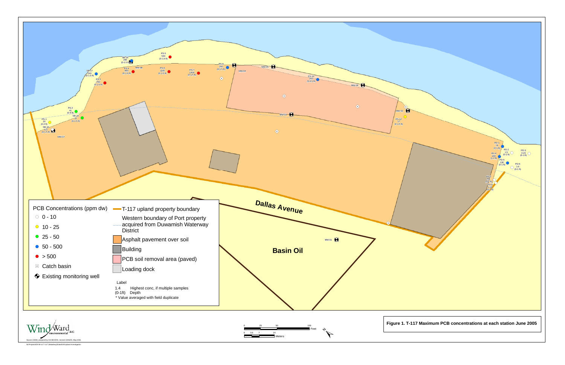<span id="page-17-0"></span>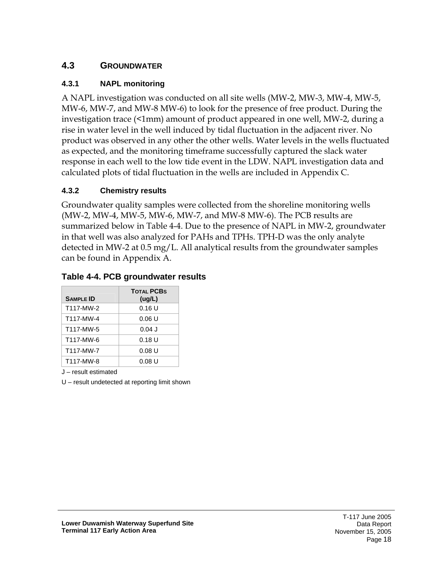#### <span id="page-18-0"></span>**4.3 GROUNDWATER**

#### <span id="page-18-1"></span>**4.3.1 NAPL monitoring**

A NAPL investigation was conducted on all site wells (MW-2, MW-3, MW-4, MW-5, MW-6, MW-7, and MW-8 MW-6) to look for the presence of free product. During the investigation trace (<1mm) amount of product appeared in one well, MW-2, during a rise in water level in the well induced by tidal fluctuation in the adjacent river. No product was observed in any other the other wells. Water levels in the wells fluctuated as expected, and the monitoring timeframe successfully captured the slack water response in each well to the low tide event in the LDW. NAPL investigation data and calculated plots of tidal fluctuation in the wells are included in Appendix C.

#### <span id="page-18-2"></span>**4.3.2 Chemistry results**

Groundwater quality samples were collected from the shoreline monitoring wells (MW-2, MW-4, MW-5, MW-6, MW-7, and MW-8 MW-6). The PCB results are summarized below in Table 4-4. Due to the presence of NAPL in MW-2, groundwater in that well was also analyzed for PAHs and TPHs. TPH-D was the only analyte detected in MW-2 at 0.5 mg/L. All analytical results from the groundwater samples can be found in Appendix A.

#### <span id="page-18-3"></span>**Table 4-4. PCB groundwater results**

| <b>SAMPLE ID</b> | <b>TOTAL PCBS</b><br>(ug/L) |
|------------------|-----------------------------|
| T117-MW-2        | 0.16U                       |
| T117-MW-4        | 0.06U                       |
| T117-MW-5        | $0.04$ J                    |
| T117-MW-6        | 0.18U                       |
| T117-MW-7        | 0.08U                       |
| T117-MW-8        | 0.08 U                      |

J – result estimated

U – result undetected at reporting limit shown